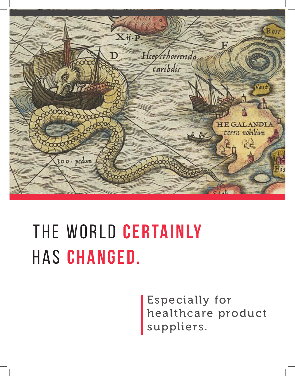

## The world **certainly** has **changed.**

Especially for healthcare product suppliers.